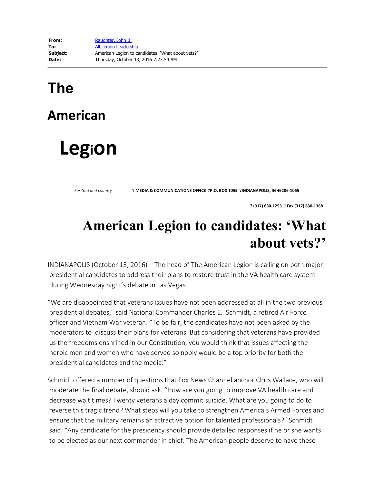## **The**

## **American**

## **Legion**

*For God and country* **? MEDIA & COMMUNICATIONS OFFICE ?P.O. BOX <sup>1055</sup> ?INDIANAPOLIS, IN 46206-1055**

 **? (317) 630-1253 ? Fax (317) 630-1368** 

## **American Legion to candidates: 'What about vets?'**

INDIANAPOLIS (October 13, 2016) – The head of The American Legion is calling on both major presidential candidates to address their plans to restore trust in the VA health care system during Wednesday night's debate in Las Vegas.

"We are disappointed that veterans issues have not been addressed at all in the two previous presidential debates," said National Commander Charles E. Schmidt, a retired Air Force officer and Vietnam War veteran. "To be fair, the candidates have not been asked by the moderators to discuss their plans for veterans. But considering that veterans have provided us the freedoms enshrined in our Constitution, you would think that issues affecting the heroic men and women who have served so nobly would be a top priority for both the presidential candidates and the media."

Schmidt offered a number of questions that Fox News Channel anchor Chris Wallace, who will moderate the final debate, should ask. "How are you going to improve VA health care and decrease wait times? Twenty veterans a day commit suicide. What are you going to do to reverse this tragic trend? What steps will you take to strengthen America's Armed Forces and ensure that the military remains an attractive option for talented professionals?" Schmidt said. "Any candidate for the presidency should provide detailed responses if he or she wants to be elected as our next commander in chief. The American people deserve to have these